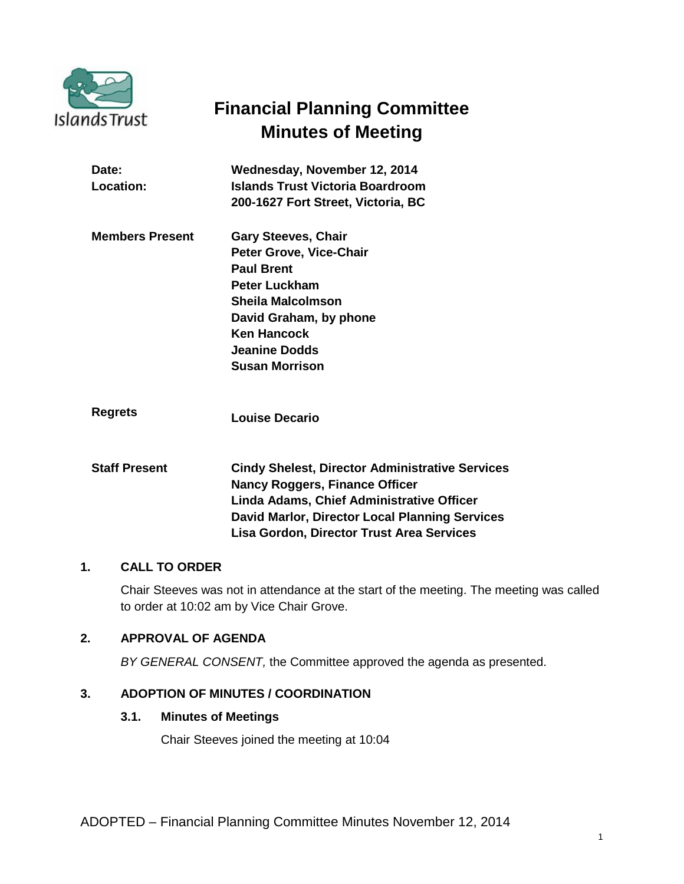

# **Financial Planning Committee Minutes of Meeting**

| Date:<br>Location:     | Wednesday, November 12, 2014<br>Islands Trust Victoria Boardroom<br>200-1627 Fort Street, Victoria, BC                                                                                                                   |
|------------------------|--------------------------------------------------------------------------------------------------------------------------------------------------------------------------------------------------------------------------|
| <b>Members Present</b> | <b>Gary Steeves, Chair</b><br><b>Peter Grove, Vice-Chair</b><br><b>Paul Brent</b><br><b>Peter Luckham</b><br>Sheila Malcolmson<br>David Graham, by phone<br><b>Ken Hancock</b><br>Jeanine Dodds<br><b>Susan Morrison</b> |
| Regrets                | Louise Decario                                                                                                                                                                                                           |

**Staff Present Cindy Shelest, Director Administrative Services Nancy Roggers, Finance Officer Linda Adams, Chief Administrative Officer David Marlor, Director Local Planning Services Lisa Gordon, Director Trust Area Services**

# **1. CALL TO ORDER**

Chair Steeves was not in attendance at the start of the meeting. The meeting was called to order at 10:02 am by Vice Chair Grove.

# **2. APPROVAL OF AGENDA**

*BY GENERAL CONSENT,* the Committee approved the agenda as presented.

# **3. ADOPTION OF MINUTES / COORDINATION**

#### **3.1. Minutes of Meetings**

Chair Steeves joined the meeting at 10:04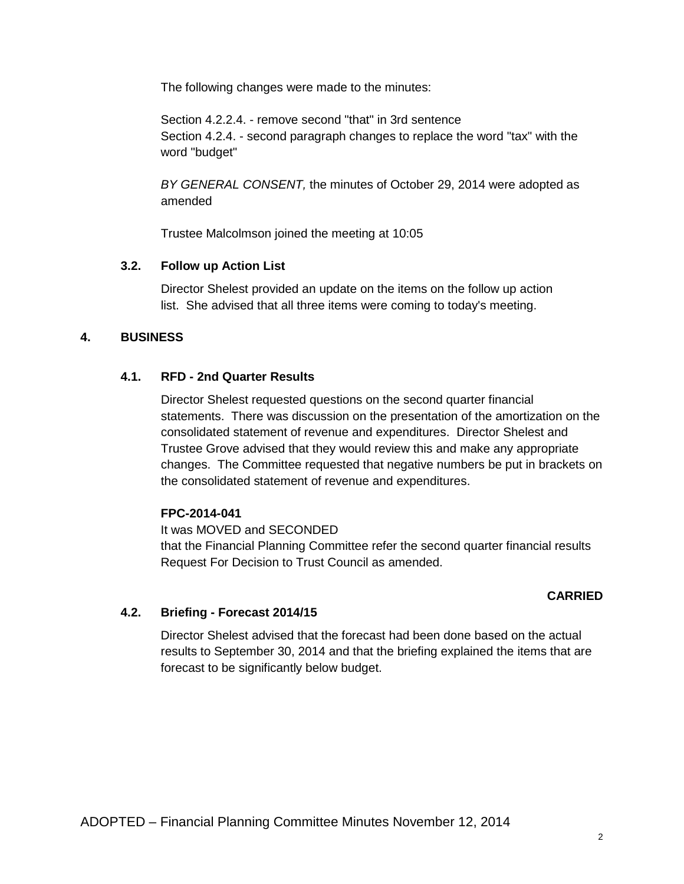The following changes were made to the minutes:

Section 4.2.2.4. - remove second "that" in 3rd sentence Section 4.2.4. - second paragraph changes to replace the word "tax" with the word "budget"

*BY GENERAL CONSENT,* the minutes of October 29, 2014 were adopted as amended

Trustee Malcolmson joined the meeting at 10:05

# **3.2. Follow up Action List**

Director Shelest provided an update on the items on the follow up action list. She advised that all three items were coming to today's meeting.

# **4. BUSINESS**

# **4.1. RFD - 2nd Quarter Results**

Director Shelest requested questions on the second quarter financial statements. There was discussion on the presentation of the amortization on the consolidated statement of revenue and expenditures. Director Shelest and Trustee Grove advised that they would review this and make any appropriate changes. The Committee requested that negative numbers be put in brackets on the consolidated statement of revenue and expenditures.

#### **FPC-2014-041**

It was MOVED and SECONDED that the Financial Planning Committee refer the second quarter financial results Request For Decision to Trust Council as amended.

#### **CARRIED**

#### **4.2. Briefing - Forecast 2014/15**

Director Shelest advised that the forecast had been done based on the actual results to September 30, 2014 and that the briefing explained the items that are forecast to be significantly below budget.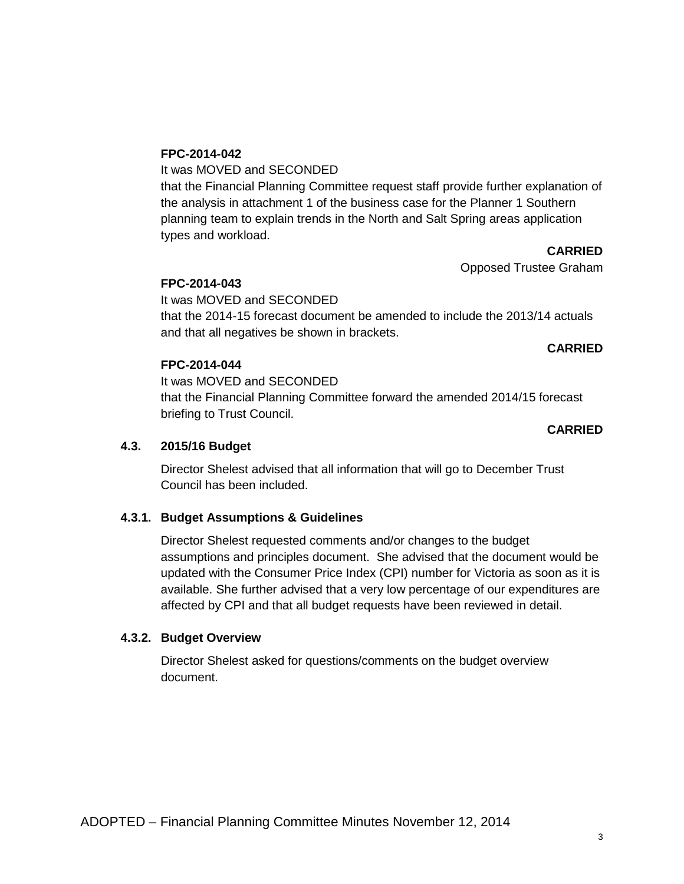# **FPC-2014-042**

It was MOVED and SECONDED

that the Financial Planning Committee request staff provide further explanation of the analysis in attachment 1 of the business case for the Planner 1 Southern planning team to explain trends in the North and Salt Spring areas application types and workload.

**CARRIED**

Opposed Trustee Graham

# **FPC-2014-043**

It was MOVED and SECONDED that the 2014-15 forecast document be amended to include the 2013/14 actuals and that all negatives be shown in brackets.

# **CARRIED**

# **FPC-2014-044**

It was MOVED and SECONDED that the Financial Planning Committee forward the amended 2014/15 forecast briefing to Trust Council.

# **CARRIED**

# **4.3. 2015/16 Budget**

Director Shelest advised that all information that will go to December Trust Council has been included.

# **4.3.1. Budget Assumptions & Guidelines**

Director Shelest requested comments and/or changes to the budget assumptions and principles document. She advised that the document would be updated with the Consumer Price Index (CPI) number for Victoria as soon as it is available. She further advised that a very low percentage of our expenditures are affected by CPI and that all budget requests have been reviewed in detail.

# **4.3.2. Budget Overview**

Director Shelest asked for questions/comments on the budget overview document.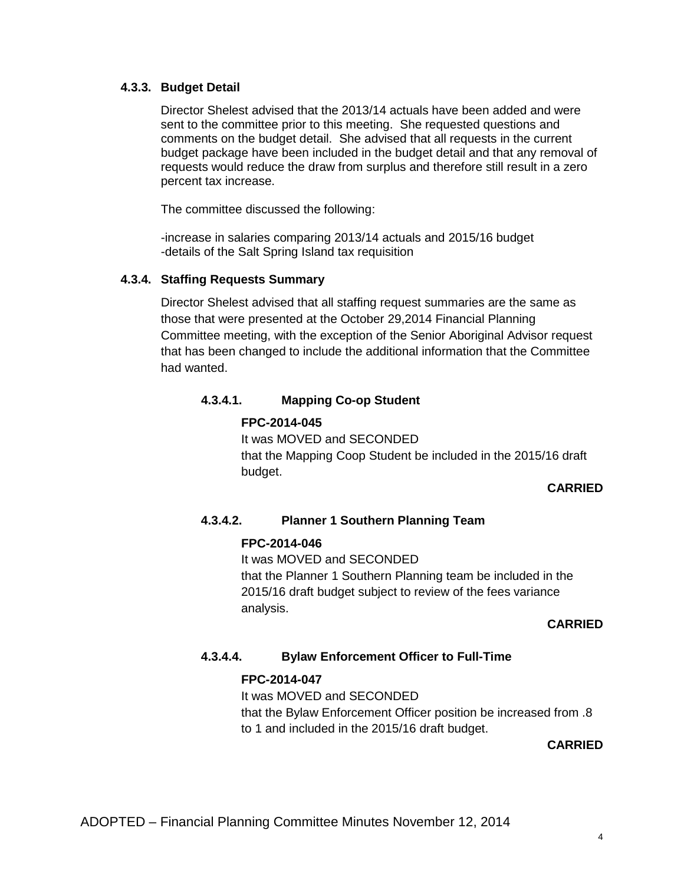#### **4.3.3. Budget Detail**

Director Shelest advised that the 2013/14 actuals have been added and were sent to the committee prior to this meeting. She requested questions and comments on the budget detail. She advised that all requests in the current budget package have been included in the budget detail and that any removal of requests would reduce the draw from surplus and therefore still result in a zero percent tax increase.

The committee discussed the following:

-increase in salaries comparing 2013/14 actuals and 2015/16 budget -details of the Salt Spring Island tax requisition

#### **4.3.4. Staffing Requests Summary**

Director Shelest advised that all staffing request summaries are the same as those that were presented at the October 29,2014 Financial Planning Committee meeting, with the exception of the Senior Aboriginal Advisor request that has been changed to include the additional information that the Committee had wanted.

# **4.3.4.1. Mapping Co-op Student**

# **FPC-2014-045**

It was MOVED and SECONDED that the Mapping Coop Student be included in the 2015/16 draft budget.

#### **CARRIED**

# **4.3.4.2. Planner 1 Southern Planning Team**

#### **FPC-2014-046**

It was MOVED and SECONDED that the Planner 1 Southern Planning team be included in the 2015/16 draft budget subject to review of the fees variance analysis.

#### **CARRIED**

# **4.3.4.4. Bylaw Enforcement Officer to Full-Time**

#### **FPC-2014-047**

It was MOVED and SECONDED that the Bylaw Enforcement Officer position be increased from .8 to 1 and included in the 2015/16 draft budget.

**CARRIED**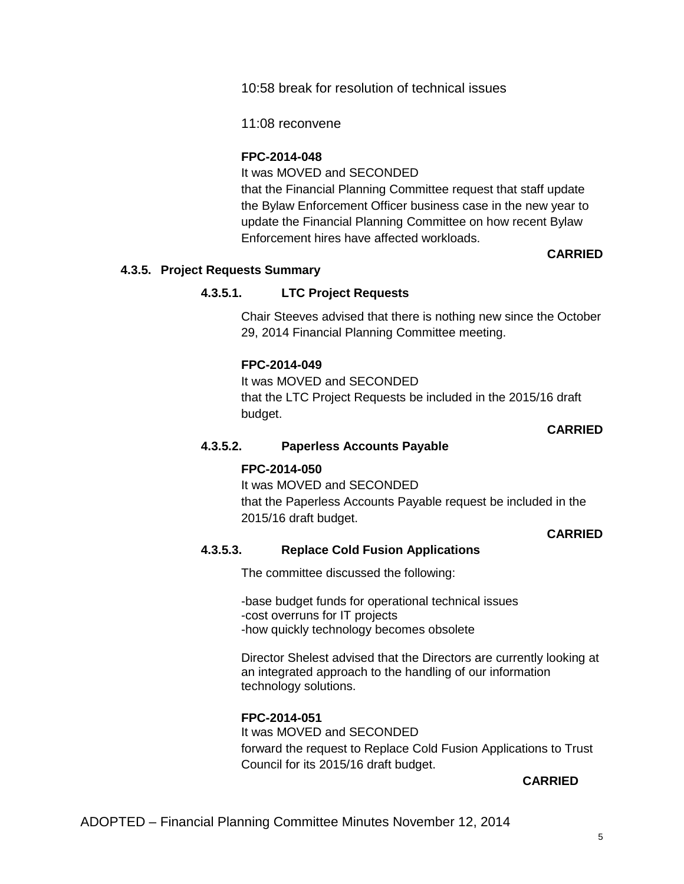10:58 break for resolution of technical issues

11:08 reconvene

#### **FPC-2014-048**

It was MOVED and SECONDED that the Financial Planning Committee request that staff update the Bylaw Enforcement Officer business case in the new year to update the Financial Planning Committee on how recent Bylaw Enforcement hires have affected workloads.

# **CARRIED**

# **4.3.5. Project Requests Summary**

# **4.3.5.1. LTC Project Requests**

Chair Steeves advised that there is nothing new since the October 29, 2014 Financial Planning Committee meeting.

# **FPC-2014-049**

It was MOVED and SECONDED that the LTC Project Requests be included in the 2015/16 draft budget.

#### **CARRIED**

#### **4.3.5.2. Paperless Accounts Payable**

# **FPC-2014-050**

It was MOVED and SECONDED that the Paperless Accounts Payable request be included in the 2015/16 draft budget.

# **CARRIED**

#### **4.3.5.3. Replace Cold Fusion Applications**

The committee discussed the following:

-base budget funds for operational technical issues -cost overruns for IT projects -how quickly technology becomes obsolete

Director Shelest advised that the Directors are currently looking at an integrated approach to the handling of our information technology solutions.

#### **FPC-2014-051**

It was MOVED and SECONDED forward the request to Replace Cold Fusion Applications to Trust Council for its 2015/16 draft budget.

**CARRIED**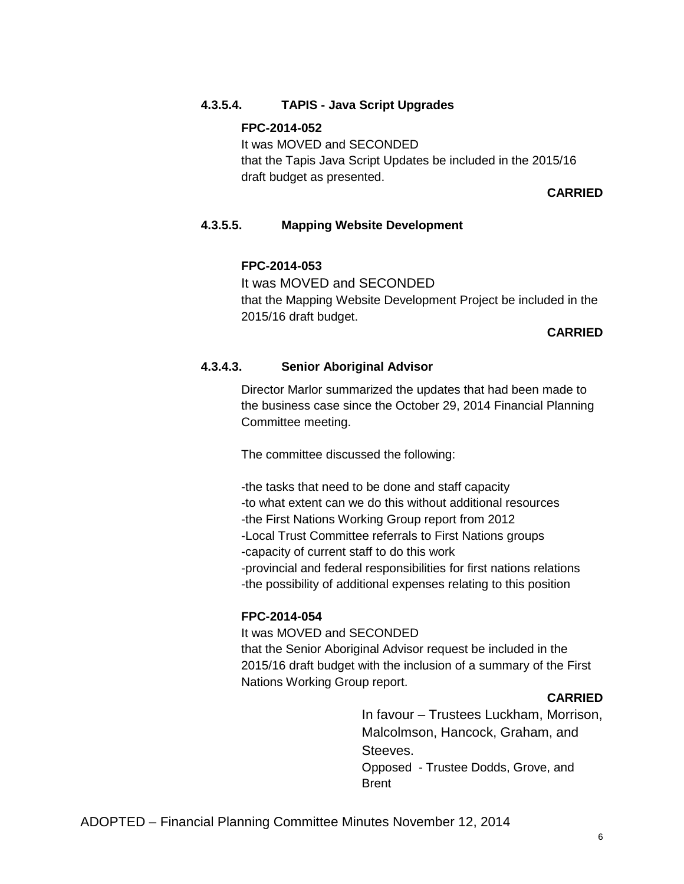# **4.3.5.4. TAPIS - Java Script Upgrades**

#### **FPC-2014-052**

It was MOVED and SECONDED that the Tapis Java Script Updates be included in the 2015/16 draft budget as presented.

#### **CARRIED**

#### **4.3.5.5. Mapping Website Development**

#### **FPC-2014-053**

It was MOVED and SECONDED that the Mapping Website Development Project be included in the 2015/16 draft budget.

#### **CARRIED**

#### **4.3.4.3. Senior Aboriginal Advisor**

Director Marlor summarized the updates that had been made to the business case since the October 29, 2014 Financial Planning Committee meeting.

The committee discussed the following:

-the tasks that need to be done and staff capacity -to what extent can we do this without additional resources -the First Nations Working Group report from 2012 -Local Trust Committee referrals to First Nations groups -capacity of current staff to do this work -provincial and federal responsibilities for first nations relations -the possibility of additional expenses relating to this position

#### **FPC-2014-054**

It was MOVED and SECONDED that the Senior Aboriginal Advisor request be included in the 2015/16 draft budget with the inclusion of a summary of the First Nations Working Group report.

#### **CARRIED**

In favour – Trustees Luckham, Morrison, Malcolmson, Hancock, Graham, and Steeves. Opposed - Trustee Dodds, Grove, and Brent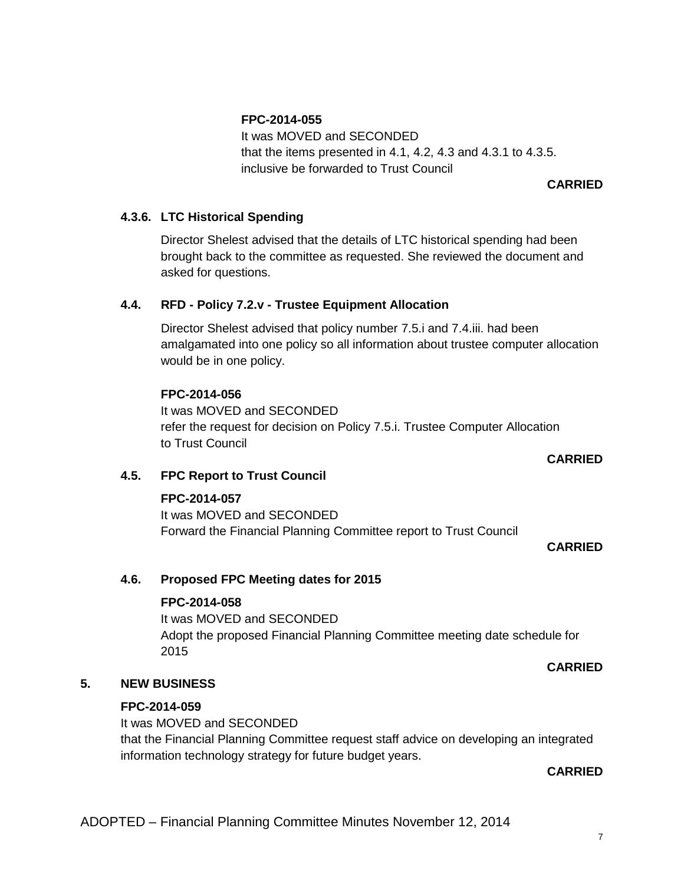# **FPC-2014-055**

It was MOVED and SECONDED that the items presented in 4.1, 4.2, 4.3 and 4.3.1 to 4.3.5. inclusive be forwarded to Trust Council

**CARRIED** 

# **4.3.6. LTC Historical Spending**

Director Shelest advised that the details of LTC historical spending had been brought back to the committee as requested. She reviewed the document and asked for questions.

# **4.4. RFD - Policy 7.2.v - Trustee Equipment Allocation**

Director Shelest advised that policy number 7.5.i and 7.4.iii. had been amalgamated into one policy so all information about trustee computer allocation would be in one policy.

# **FPC-2014-056**

It was MOVED and SECONDED refer the request for decision on Policy 7.5.i. Trustee Computer Allocation to Trust Council

# **CARRIED**

# **4.5. FPC Report to Trust Council**

# **FPC-2014-057**

It was MOVED and SECONDED Forward the Financial Planning Committee report to Trust Council

#### **CARRIED**

# **4.6. Proposed FPC Meeting dates for 2015**

# **FPC-2014-058**

It was MOVED and SECONDED Adopt the proposed Financial Planning Committee meeting date schedule for 2015

#### **CARRIED**

# **5. NEW BUSINESS**

# **FPC-2014-059**

It was MOVED and SECONDED that the Financial Planning Committee request staff advice on developing an integrated information technology strategy for future budget years.

#### **CARRIED**